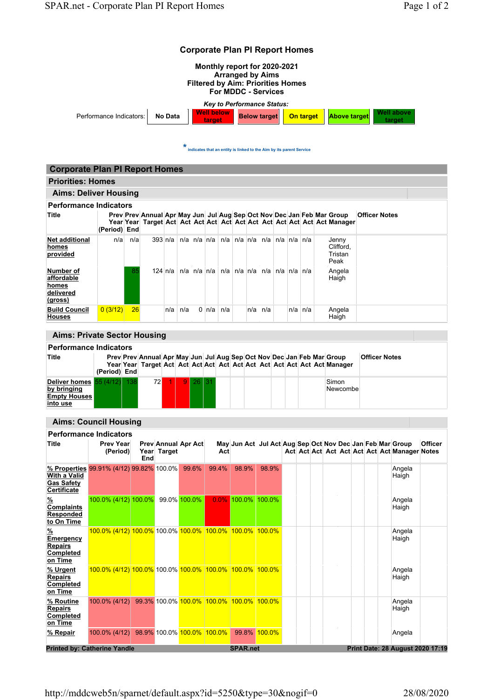| <b>Corporate Plan PI Report Homes</b>                                                                                                                                  |                                                         |     |                                                                        |                                                               |     |                                                                     |                 |                       |                                  |  |                |  |  |             |                                             |                   |           |  |  |                      |                                                           |                |  |
|------------------------------------------------------------------------------------------------------------------------------------------------------------------------|---------------------------------------------------------|-----|------------------------------------------------------------------------|---------------------------------------------------------------|-----|---------------------------------------------------------------------|-----------------|-----------------------|----------------------------------|--|----------------|--|--|-------------|---------------------------------------------|-------------------|-----------|--|--|----------------------|-----------------------------------------------------------|----------------|--|
| Monthly report for 2020-2021<br><b>Arranged by Aims</b><br><b>Filtered by Aim: Priorities Homes</b><br><b>For MDDC - Services</b><br><b>Key to Performance Status:</b> |                                                         |     |                                                                        |                                                               |     |                                                                     |                 |                       |                                  |  |                |  |  |             |                                             |                   |           |  |  |                      |                                                           |                |  |
|                                                                                                                                                                        |                                                         |     |                                                                        |                                                               |     |                                                                     |                 |                       |                                  |  |                |  |  |             |                                             |                   |           |  |  |                      |                                                           |                |  |
| <b>Well below</b><br>Performance Indicators:<br>No Data<br>taroet                                                                                                      |                                                         |     |                                                                        |                                                               |     |                                                                     |                 |                       | <b>Below target</b><br>On target |  |                |  |  |             | Well above<br><b>Above target</b><br>target |                   |           |  |  |                      |                                                           |                |  |
|                                                                                                                                                                        |                                                         |     |                                                                        |                                                               |     |                                                                     |                 |                       |                                  |  |                |  |  |             |                                             |                   |           |  |  |                      |                                                           |                |  |
|                                                                                                                                                                        |                                                         |     |                                                                        |                                                               | *   | indicates that an entity is linked to the Aim by its parent Service |                 |                       |                                  |  |                |  |  |             |                                             |                   |           |  |  |                      |                                                           |                |  |
|                                                                                                                                                                        |                                                         |     |                                                                        |                                                               |     |                                                                     |                 |                       |                                  |  |                |  |  |             |                                             |                   |           |  |  |                      |                                                           |                |  |
| <b>Corporate Plan PI Report Homes</b>                                                                                                                                  |                                                         |     |                                                                        |                                                               |     |                                                                     |                 |                       |                                  |  |                |  |  |             |                                             |                   |           |  |  |                      |                                                           |                |  |
| <b>Priorities: Homes</b><br><b>Aims: Deliver Housing</b>                                                                                                               |                                                         |     |                                                                        |                                                               |     |                                                                     |                 |                       |                                  |  |                |  |  |             |                                             |                   |           |  |  |                      |                                                           |                |  |
| <b>Performance Indicators</b>                                                                                                                                          |                                                         |     |                                                                        |                                                               |     |                                                                     |                 |                       |                                  |  |                |  |  |             |                                             |                   |           |  |  |                      |                                                           |                |  |
| Title                                                                                                                                                                  |                                                         |     | Prev Prev Annual Apr May Jun Jul Aug Sep Oct Nov Dec Jan Feb Mar Group |                                                               |     |                                                                     |                 |                       |                                  |  |                |  |  |             |                                             |                   |           |  |  | <b>Officer Notes</b> |                                                           |                |  |
|                                                                                                                                                                        | (Period) End                                            |     |                                                                        |                                                               |     |                                                                     |                 |                       |                                  |  |                |  |  |             |                                             |                   |           |  |  |                      |                                                           |                |  |
| <b>Net additional</b>                                                                                                                                                  | n/al                                                    | n/a |                                                                        | 393 n/a                                                       |     |                                                                     |                 |                       |                                  |  |                |  |  |             |                                             | Jenny             |           |  |  |                      |                                                           |                |  |
| homes<br>provided                                                                                                                                                      |                                                         |     |                                                                        |                                                               |     |                                                                     |                 |                       |                                  |  |                |  |  |             |                                             | Tristan           | Clifford, |  |  |                      |                                                           |                |  |
| Number of                                                                                                                                                              |                                                         | 85  |                                                                        | 124 n/a   n/a   n/a   n/a   n/a   n/a   n/a   n/a   n/a   n/a |     |                                                                     |                 |                       |                                  |  |                |  |  |             |                                             | Peak<br>Angela    |           |  |  |                      |                                                           |                |  |
| affordable<br>homes<br>delivered<br>(gross)                                                                                                                            |                                                         |     |                                                                        |                                                               |     |                                                                     |                 |                       |                                  |  |                |  |  |             |                                             | Haigh             |           |  |  |                      |                                                           |                |  |
| <b>Build Council</b>                                                                                                                                                   | 0(3/12)                                                 | 26  |                                                                        | n/a                                                           | n/a |                                                                     | $0 \ln/a \ln/a$ |                       |                                  |  | $n/a \mid n/a$ |  |  | $n/a$ $n/a$ |                                             | Angela            |           |  |  |                      |                                                           |                |  |
| <b>Houses</b>                                                                                                                                                          |                                                         |     |                                                                        |                                                               |     |                                                                     |                 |                       |                                  |  |                |  |  |             |                                             | Haigh             |           |  |  |                      |                                                           |                |  |
| <b>Aims: Private Sector Housing</b>                                                                                                                                    |                                                         |     |                                                                        |                                                               |     |                                                                     |                 |                       |                                  |  |                |  |  |             |                                             |                   |           |  |  |                      |                                                           |                |  |
| <b>Performance Indicators</b>                                                                                                                                          |                                                         |     |                                                                        |                                                               |     |                                                                     |                 |                       |                                  |  |                |  |  |             |                                             |                   |           |  |  |                      |                                                           |                |  |
| Title                                                                                                                                                                  |                                                         |     | Prev Prev Annual Apr May Jun Jul Aug Sep Oct Nov Dec Jan Feb Mar Group |                                                               |     |                                                                     |                 |                       |                                  |  |                |  |  |             |                                             |                   |           |  |  | <b>Officer Notes</b> |                                                           |                |  |
|                                                                                                                                                                        | (Period) End                                            |     |                                                                        |                                                               |     |                                                                     |                 |                       |                                  |  |                |  |  |             |                                             |                   |           |  |  |                      |                                                           |                |  |
| Deliver homes $55(4/12)$<br>by bringing<br><b>Empty Houses</b><br>into use                                                                                             |                                                         | 138 | 72                                                                     | $-1$                                                          | 9   | 26 I                                                                | 31              |                       |                                  |  |                |  |  |             |                                             | Simon<br>Newcombe |           |  |  |                      |                                                           |                |  |
|                                                                                                                                                                        |                                                         |     |                                                                        |                                                               |     |                                                                     |                 |                       |                                  |  |                |  |  |             |                                             |                   |           |  |  |                      |                                                           |                |  |
| <b>Aims: Council Housing</b>                                                                                                                                           |                                                         |     |                                                                        |                                                               |     |                                                                     |                 |                       |                                  |  |                |  |  |             |                                             |                   |           |  |  |                      |                                                           |                |  |
| <b>Performance Indicators</b><br>Title                                                                                                                                 | <b>Prev Year</b>                                        |     | Prev Annual Apr Act                                                    |                                                               |     |                                                                     |                 |                       |                                  |  |                |  |  |             |                                             |                   |           |  |  |                      | May Jun Act Jul Act Aug Sep Oct Nov Dec Jan Feb Mar Group | <b>Officer</b> |  |
|                                                                                                                                                                        | (Period)                                                |     | Year Target                                                            |                                                               |     |                                                                     |                 | Act                   |                                  |  |                |  |  |             |                                             |                   |           |  |  |                      | Act Act Act Act Act Act Act Act Manager Notes             |                |  |
| % Properties 99.91% (4/12) 99.82% 100.0%<br><b>With a Valid</b><br><b>Gas Safety</b><br>Certificate                                                                    |                                                         |     | End                                                                    |                                                               |     | 99.6%                                                               |                 | 99.4%                 | 98.9%                            |  | 98.9%          |  |  |             |                                             |                   |           |  |  |                      | Angela<br>Haigh                                           |                |  |
| $\frac{9}{6}$<br><b>Complaints</b><br>Responded<br>to On Time                                                                                                          | 100.0% (4/12) 100.0%                                    |     |                                                                        | 99.0% 100.0%                                                  |     |                                                                     |                 | $0.0\%$ 100.0% 100.0% |                                  |  |                |  |  |             |                                             |                   |           |  |  |                      | Angela<br>Haigh                                           |                |  |
| $\frac{9}{6}$<br>Emergency<br><b>Repairs</b><br>Completed<br>on Time                                                                                                   | 100.0% (4/12) 100.0% 100.0% 100.0% 100.0% 100.0% 100.0% |     |                                                                        |                                                               |     |                                                                     |                 |                       |                                  |  |                |  |  |             |                                             |                   |           |  |  |                      | Angela<br>Haigh                                           |                |  |
| % Urgent<br><b>Repairs</b><br>Completed<br>on Time                                                                                                                     | 100.0% (4/12) 100.0% 100.0% 100.0% 100.0% 100.0% 100.0% |     |                                                                        |                                                               |     |                                                                     |                 |                       |                                  |  |                |  |  |             |                                             |                   |           |  |  |                      | Angela<br>Haigh                                           |                |  |
| % Routine<br><b>Repairs</b><br>Completed<br>on Time                                                                                                                    | 100.0% (4/12) 99.3% 100.0% 100.0% 100.0% 100.0% 100.0%  |     |                                                                        |                                                               |     |                                                                     |                 |                       |                                  |  |                |  |  |             |                                             |                   |           |  |  |                      | Angela<br>Haigh                                           |                |  |
| % Repair                                                                                                                                                               | $100.0\%$ (4/12)                                        |     | 98.9% 100.0% 100.0% 100.0%                                             |                                                               |     |                                                                     |                 |                       |                                  |  | 99.8% 100.0%   |  |  |             |                                             |                   |           |  |  |                      | Angela                                                    |                |  |
|                                                                                                                                                                        |                                                         |     |                                                                        |                                                               |     |                                                                     |                 |                       | <b>SPAR.net</b>                  |  |                |  |  |             |                                             |                   |           |  |  |                      | Print Date: 28 August 2020 17:19                          |                |  |